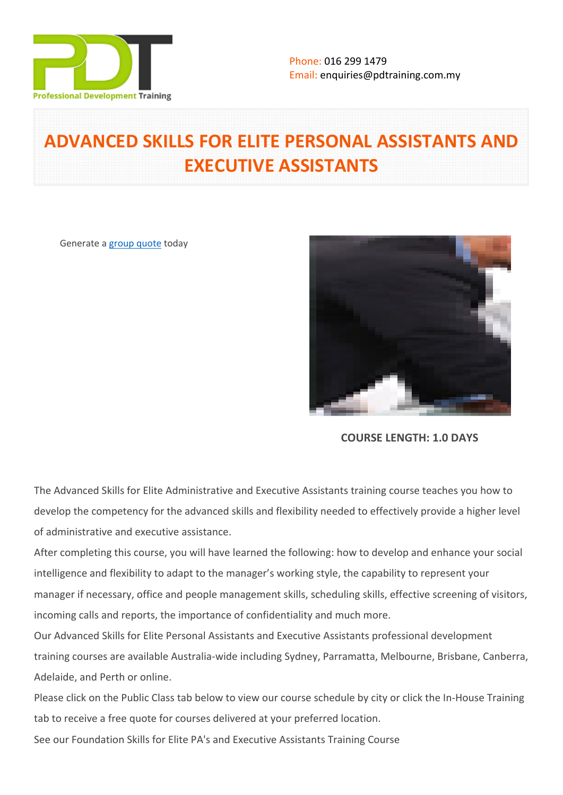

# **ADVANCED SKILLS FOR ELITE PERSONAL ASSISTANTS AND EXECUTIVE ASSISTANTS**

Generate a [group quote](https://pdtraining.com.my/inhouse-training-quote?cse=PDT002CTM) today



**COURSE LENGTH: 1.0 DAYS**

The Advanced Skills for Elite Administrative and Executive Assistants training course teaches you how to develop the competency for the advanced skills and flexibility needed to effectively provide a higher level of administrative and executive assistance.

After completing this course, you will have learned the following: how to develop and enhance your social intelligence and flexibility to adapt to the manager's working style, the capability to represent your manager if necessary, office and people management skills, scheduling skills, effective screening of visitors, incoming calls and reports, the importance of confidentiality and much more.

Our Advanced Skills for Elite Personal Assistants and Executive Assistants professional development training courses are available Australia-wide including Sydney, Parramatta, Melbourne, Brisbane, Canberra, Adelaide, and Perth or online.

Please click on the Public Class tab below to view our course schedule by city or click the In-House Training tab to receive a free quote for courses delivered at your preferred location.

See our [Foundation Skills for Elite PA's and Executive Assistants Training Course](https://pdtraining.com.au/courses/foundation-skills-for-pas-and-executive-assistants)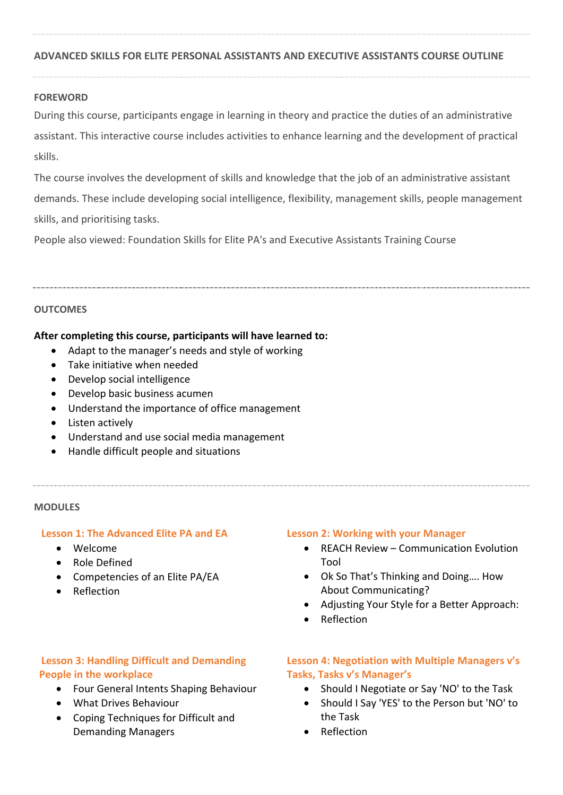## **ADVANCED SKILLS FOR ELITE PERSONAL ASSISTANTS AND EXECUTIVE ASSISTANTS COURSE OUTLINE**

#### **FOREWORD**

During this course, participants engage in learning in theory and practice the duties of an administrative assistant. This interactive course includes activities to enhance learning and the development of practical skills.

The course involves the development of skills and knowledge that the job of an administrative assistant demands. These include developing social intelligence, flexibility, management skills, people management skills, and prioritising tasks.

People also viewed: [Foundation Skills for Elite PA's and Executive Assistants Training Course](https://pdtraining.com.au/courses/foundation-skills-for-pas-and-executive-assistants) 

#### **OUTCOMES**

#### **After completing this course, participants will have learned to:**

- Adapt to the manager's needs and style of working
- Take initiative when needed
- Develop social intelligence
- Develop basic business acumen
- Understand the importance of office management
- Listen actively
- Understand and use social media management
- Handle difficult people and situations

#### **MODULES**

#### **Lesson 1: The Advanced Elite PA and EA**

- Welcome
- Role Defined
- Competencies of an Elite PA/EA
- Reflection

#### **Lesson 2: Working with your Manager**

- REACH Review Communication Evolution Tool
- Ok So That's Thinking and Doing…. How About Communicating?
- Adjusting Your Style for a Better Approach:
- Reflection

## **Lesson 3: Handling Difficult and Demanding People in the workplace**

- Four General Intents Shaping Behaviour
- What Drives Behaviour
- Coping Techniques for Difficult and Demanding Managers

## **Lesson 4: Negotiation with Multiple Managers v's Tasks, Tasks v's Manager's**

- Should I Negotiate or Say 'NO' to the Task
- Should I Say 'YES' to the Person but 'NO' to the Task
- Reflection